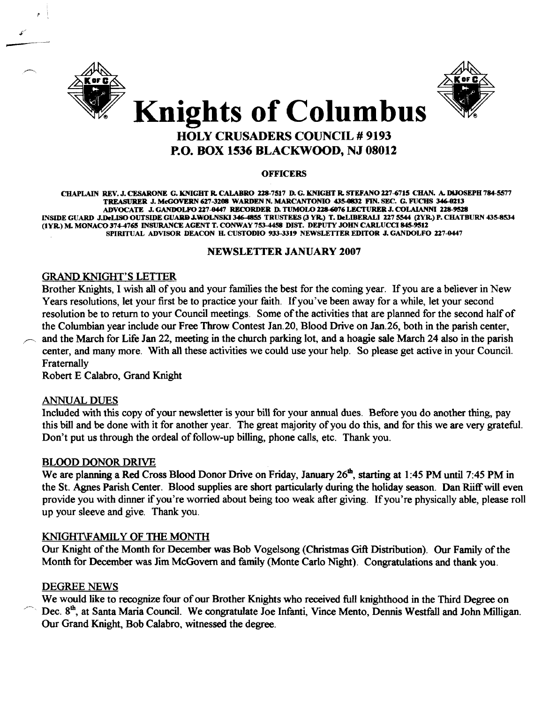

*t* 

-



### Knights of Columbus HOLY CRUSADERS COUNCIL # 9193 P.O. BOX 1536 BLACKWOOD, NJ 08012

#### **OFFICERS**

CHAPLAIN REV. J. CESARONE G. KNIGHT R. CALABRO 228-7517 D. G. KNIGHT R. STEFANO 227-6715 CHAN. A. DlJOSEPH 784-5577 TREASURER J. McGOVERN 627-3208 WARDEN N. MARCANTONIO 435-0832 FIN. SEC. G. FUCHS 346-0213 ADVOCATE J. GANDOLFO 227-8447 RECORDER D. TUMOLO 2l8-Qt76 LECI'URER J. COLAlANN1 228-9528 LNSIDE GUARD J.DeLISO OUTSIDE GUARD J.WOLNSKI 346-4855 TRUSTEES (3 YR.) T. DeLIBERALI 227 5544 (2YR.) P. CHATBURN 435-8534 (lYR.) M. MONACO 374476S INSURANCE AGENT T. CONWAY 753-4458 DIST. DEPUTY JOHN CARLUCCI845-95ll SPIRITUAL ADVISOR DEACON H. CUSTODIO 933-3319 NEWSLETTER EDITOR J. GANDOLFO 227-0447

#### NEWSLETTER JANUARY 2007

#### GRAND KNIGHT'S LETTER

Brother Knights, I wish all of you and your families the best for the coming year. If you are a believer in New Years resolutions, let your first be to practice your faith. If you've been away for a while, let your second resolution be to return to your Council meetings. Some of the activities that are planned for the second half of the Columbian year include our Free Throw Contest Jan.20, Blood Drive on Jan.26, both in the parish center, and the March for Life Jan 22, meeting in the church parking lot, and a hoagie sale March 24 also in the parish center, and many more. With all these activities we could use your help. So please get active in your Council. Fraternally

Robert E Calabro, Grand Knight

#### ANNUAL DUES

Included with this copy of your newsletter is your bill for your annual dues. Before you do another thing, pay this bill and be done with it for another year. The great majority of you do this, and for this we are very grateful. Don't put us through the ordeal of follow-up billing, phone calls, etc. Thank you.

#### BLOOD DONOR DRIVE

We are planning a Red Cross Blood Donor Drive on Friday, January 26<sup>th</sup>, starting at 1:45 PM until 7:45 PM in the St. Agnes Parish Center. Blood supplies are short particularly during the holiday season. Dan Riiffwill even provide you with dinner if you're worried about being too weak after giving. If you're physically able, please roll up your sleeve and give. Thank you.

#### KNIGHT\FAMILY OF THE MONTH

Our Knight of the Month for December was Bob Vogelsong (Christmas Gift Distribution). Our Family of the Month for December was Jim McGovern and family (Monte Carlo Night). Congratulations and thank you.

#### DEGREE NEWS

We would like to recognize four of our Brother Knights who received full knighthood in the Third Degree on Dec. 8<sup>th</sup>, at Santa Maria Council. We congratulate Joe Infanti, Vince Mento, Dennis Westfall and John Milligan. Our Grand Knight, Bob Calabro. witnessed the degree.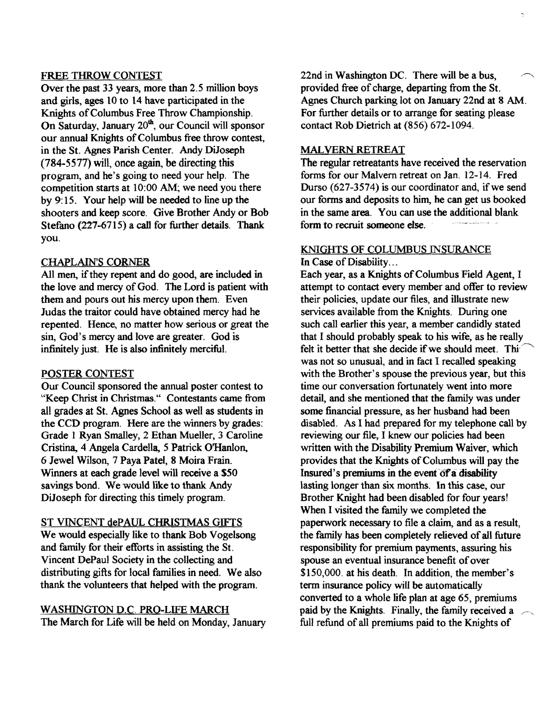#### FREE THROW CONTEST

Over the past 33 years, more than 2.5 million boys and girls, ages 10 to 14 have participated in the Knights of Columbus Free Throw Championship. On Saturday, January 20<sup>th</sup>, our Council will sponsor our annual Knights of Columbus free throw contest, in the St. Agnes Parish Center. Andy DiJoseph  $(784-5577)$  will, once again, be directing this program, and he's going to need your help. The competition starts at 10:00 AM; we need you there by 9: 15. Your help will be needed to line up the shooters and keep score. Give Brother Andy or Bob Stefano (227-6715) a call for further details. Thank you.

#### CHAPLAIN'S CORNER

All men, if they repent and do good, are included in the love and mercy of God. The Lord is patient with them and pours out his mercy upon them. Even Judas the traitor could have obtained mercy had he repented. Hence, no matter how serious or great the sin, God's mercy and love are greater. God is infinitely just. He is also infinitely merciful.

#### POSTER CONTEST

Our Council sponsored the annual poster contest to "Keep Christ in Christmas." Contestants came from all grades at St. Agnes School as well as students in the CCD program. Here are the winners by grades: Grade 1 Ryan Smalley, 2 Ethan Mueller, 3 Caroline Cristina, 4 Angela Cardella, 5 Patrick O'Hanlon, 6 Jewel Wilson, 7 Paya Patel, 8 Moira Frain. Winners at each grade level will receive a S50 savings bond. We would like to thank Andy DiJoseph for directing this timely program.

#### ST VINCENT dePAUL CHRISTMAS GIFTS

We would especially like to thank Bob Vogelsong and family for their efforts in assisting the St. Vincent DePaul Society in the collecting and distributing gifts for local families in need. We also thank the volunteers that helped with the program.

#### WASHINGTON D.C. PRO-LIFE MARCH

The March for Life will be held on Monday, January

 $22nd$  in Washington DC. There will be a bus, provided free of charge, departing from the St. Agnes Church parking lot on January 22nd at 8 AM. For further details or to arrange for seating please contact Rob Dietrich at (856) 672-1094.

Ņ

#### MALVERN RETREAT

The regular retreatants have received the reservation forms for our Malvern retreat on Jan. 12-14. Fred Durso (627-3574) is our coordinator and, if we send our forms and deposits to him, he can get us booked in the same area. You can use the additional blank form to recruit someone else.

#### KNIGHTS OF COLUMBUS INSURANCE

In Case of Disability...

Each year, as a Knights of Columbus Field Agent, I attempt to contact every member and offer to review their policies, update our files, and illustrate new services available from the Knights. During one such call earlier this year, a member candidly stated that I should probably speak to his wife, as he really felt it better that she decide if we should meet. This was not so unusual, and in fact I recalled speaking with the Brother's spouse the previous year, but this time our conversation fortunately went into more detail, and she mentioned that the family was under some financial pressure, as her husband had been disabled. As I had prepared for my telephone call by reviewing our file, I knew our policies had been written with the Disability Premium Waiver, which provides that the Knights of Columbus will pay the Insured's premiums in the event of a disability lasting longer than six months. In this case, our Brother Knight had been disabled for four years! When I visited the family we completed the paperwork necessary to file a claim, and as a result, the family has been completely relieved of all future responsibility for premium payments, assuring his spouse an eventual insurance benefit of over \$150,000. at his death. In addition, the member's term insurance policy will be automatically converted to a whole life plan at age 65, premiums paid by the Knights. Finally, the family received a full refund of all premiums paid to the Knights of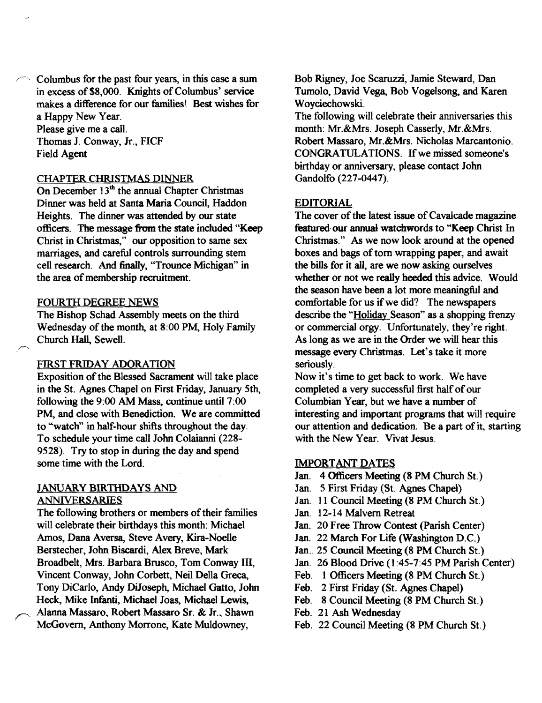Columbus for the past four years, in this case a sum in excess of \$8,000. Knights of Columbus' service makes a difference for our families! Best wishes for a Happy New Year. Please give me a calL Thomas J. Conway, Jr., FICF Field Agent

#### CHAPTER CHRISTMAS DINNER

On December  $13<sup>th</sup>$  the annual Chapter Christmas Dinner was held at Santa Maria Council, Haddon Heights. The dinner was attended by our state officers. The message from the state included "Keep Christ in Christmas," our opposition to same sex marriages, and careful controls surrounding stem cell research. And finally, "Trounce Michigan" in the area of membership recruitment.

#### FOURTH DEGREE NEWS

The Bishop Schad Assembly meets on the third Wednesday of the month, at 8:00 PM, Holy Family Church Hall, Sewell.

#### FIRST FRIDAY ADORATION

Exposition of the Blessed Sacrament will take place in the St. Agnes Chapel on First Friday, January 5th, following the 9:00 AM Mass, continue until 7:00 PM, and close with Benediction. We are committed to "watch" in half-hour shifts throughout the day. To schedule your time call John Colaianni (228 9528). Try to stop in during the day and spend some time with the Lord.

#### JANUARY BIRTHDAYS AND ANNIVERSARIES

The following brothers or members of their families will celebrate their birthdays this month: Michael Amos, Dana Aversa, Steve Avery, Kira-Noelle Berstecher, John Biscardi, Alex Breve, Mark Broadbelt, Mrs. Barbara Brusco, Tom Conway III, Vincent Conway, John Corbett, Neil Della Greca, Tony DiCarlo, Andy DiJoseph, Michael Gatto, John Heck, Mike lnfanti, Michael J088, Michael Lewis, *r*  Alanna Massaro, Robert Massaro Sr. & Jr., Shawn McGovern, Anthony Morrone, Kate Muldowney,

Bob Rigney, Joe Scaruzzi, Jamie Steward, Dan Tumolo, David Vega, Bob Vogelsong, and Karen Woyciechowski.

The following will celebrate their anniversaries this month: Mr.&Mrs. Joseph Casserly, Mr.&Mrs. Robert Massaro, Mr.&Mrs. Nicholas Marcantonio. CONGRATULATIONS. If we missed someone's birthday or anniversary, please contact John Gandolfo (227-0447).

#### EDITORIAL

The cover of the latest issue of Cavalcade magazine featured our annual watchwords to "Keep Christ In Christmas." As we now look around at the opened boxes and bags of torn wrapping paper, and await the bills for it all, are we now asking ourselves whether or not we really heeded this advice. Would the season have been a lot more meaningful and comfortable for us if we did? The newspapers describe the "Holiday Season" as a shopping frenzy or commercial orgy. Unfortunately, they're right. As long as we are in the Order we will hear this message every Christmas. Let's take it more seriously.

Now it's time to get back to work. We have completed a very successful first half of our Columbian Year, but we have a number of interesting and important programs that will require our attention and dedication. Be a part of it, starting with the New Year. Vivat Jesus.

#### IMPORTANT DATES

- Jan. 4 Officers Meeting (8 PM Church St.)
- Jan. 5 First Friday (St. Agnes Chapel)
- Jan. 11 Council Meeting (8 PM Church St.)
- Jan. 12-14 Malvern Retreat
- Jan. 20 Free Throw Contest (parish Center)
- Jan. 22 March For Life (Washington D.C.)
- Jan.. 25 Council Meeting (8 PM Church St.)
- Jan. 26 Blood Drive (1 :45-7:45 PM Parish Center)
- Feb. 1 Officers Meeting (8 PM Church St.)
- Feb. 2 First Friday (St. Agnes Chapel)
- Feb. 8 Council Meeting (8 PM Church St.)
- Feb. 21 Ash Wednesday
- Feb. 22 Council Meeting (8 PM Church St.)